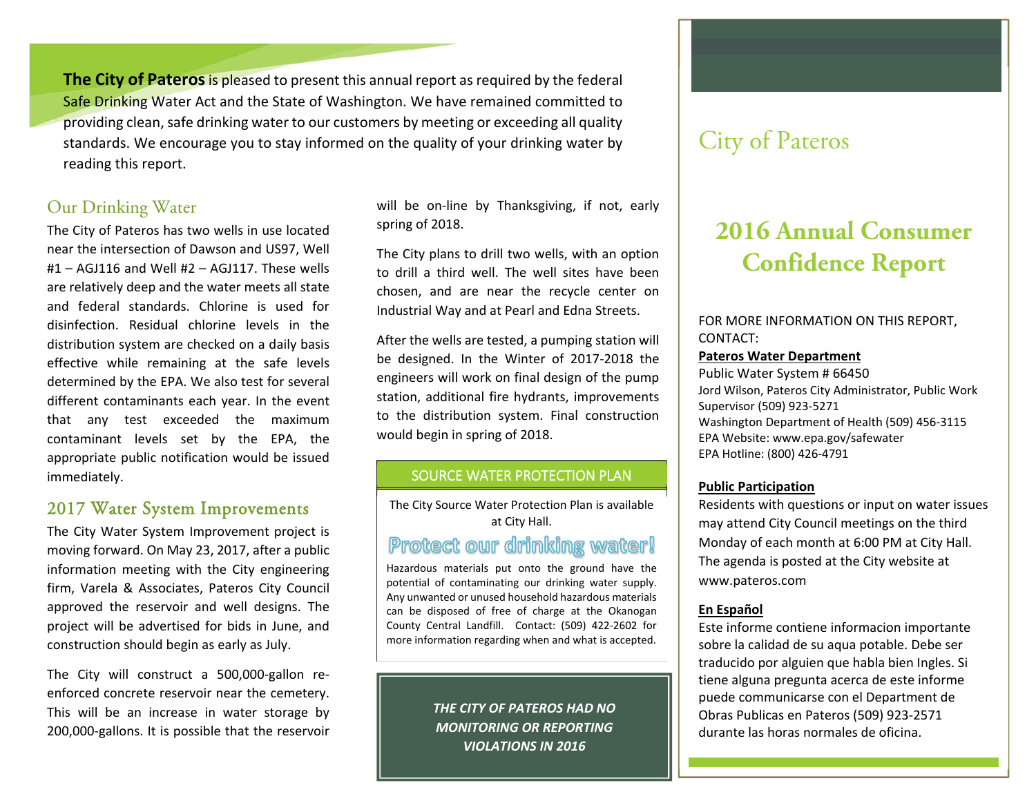**The City of Pateros** is pleased to present this annual report as required by the federal Safe Drinking Water Act and the State of Washington. We have remained committed to providing clean, safe drinking water to our customers by meeting or exceeding all quality standards. We encourage you to stay informed on the quality of your drinking water by reading this report.

### Our Drinking Water

The City of Pateros has two wells in use located near the intersection of Dawson and US97, Well #1 – AGJ116 and Well #2 – AGJ117. These wells are relatively deep and the water meets all state and federal standards. Chlorine is used for disinfection. Residual chlorine levels in the distribution system are checked on a daily basis effective while remaining at the safe levels determined by the EPA. We also test for several different contaminants each year. In the event that any test exceeded the maximum contaminant levels set by the EPA, the appropriate public notification would be issued immediately.

### 2017 Water System Improvements

The City Water System Improvement project is moving forward. On May 23, 2017, after a public information meeting with the City engineering firm, Varela & Associates, Pateros City Council approved the reservoir and well designs. The project will be advertised for bids in June, and construction should begin as early as July.

The City will construct a 500,000-gallon reenforced concrete reservoir near the cemetery. This will be an increase in water storage by 200,000‐gallons. It is possible that the reservoir

will be on-line by Thanksgiving, if not, early spring of 2018.

The City plans to drill two wells, with an option to drill <sup>a</sup> third well. The well sites have been chosen, and are near the recycle center on Industrial Way and at Pearl and Edna Streets.

After the wells are tested, a pumping station will be designed. In the Winter of 2017‐2018 the engineers will work on final design of the pump station, additional fire hydrants, improvements to the distribution system. Final construction would begin in spring of 2018.

#### SOURCE WATER PROTECTION PLAN

The City Source Water Protection Plan is available at City Hall.

# Protect our drinking water!

Hazardous materials put onto the ground have the potential of contaminating our drinking water supply. Any unwanted or unused household hazardous materials can be disposed of free of charge at the Okanogan County Central Landfill. Contact: (509) 422‐2602 for more information regarding when and what is accepted.

> *THE CITY OF PATEROS HAD NO MONITORING OR REPORTING VIOLATIONS IN 2016*

# City of Pateros

# **2016 Annual Consumer Confidence Report**

FOR MORE INFORMATION ON THIS REPORT, CONTACT:

#### **Pateros Water Department**

Public Water System # 66450 Jord Wilson, Pateros City Administrator, Public Work Supervisor (509) 923‐5271 Washington Department of Health (509) 456‐3115 EPA Website: www.epa.gov/safewater EPA Hotline: (800) 426‐4791

#### **Public Participation**

Residents with questions or input on water issues may attend City Council meetings on the third Monday of each month at 6:00 PM at City Hall. The agenda is posted at the City website at www.pateros.com

#### **En Español**

Este informe contiene informacion importante sobre la calidad de su aqua potable. Debe ser traducido por alguien que habla bien Ingles. Si tiene alguna pregunta acerca de este informe puede communicarse con el Department de Obras Publicas en Pateros (509) 923‐2571 durante las horas normales de oficina.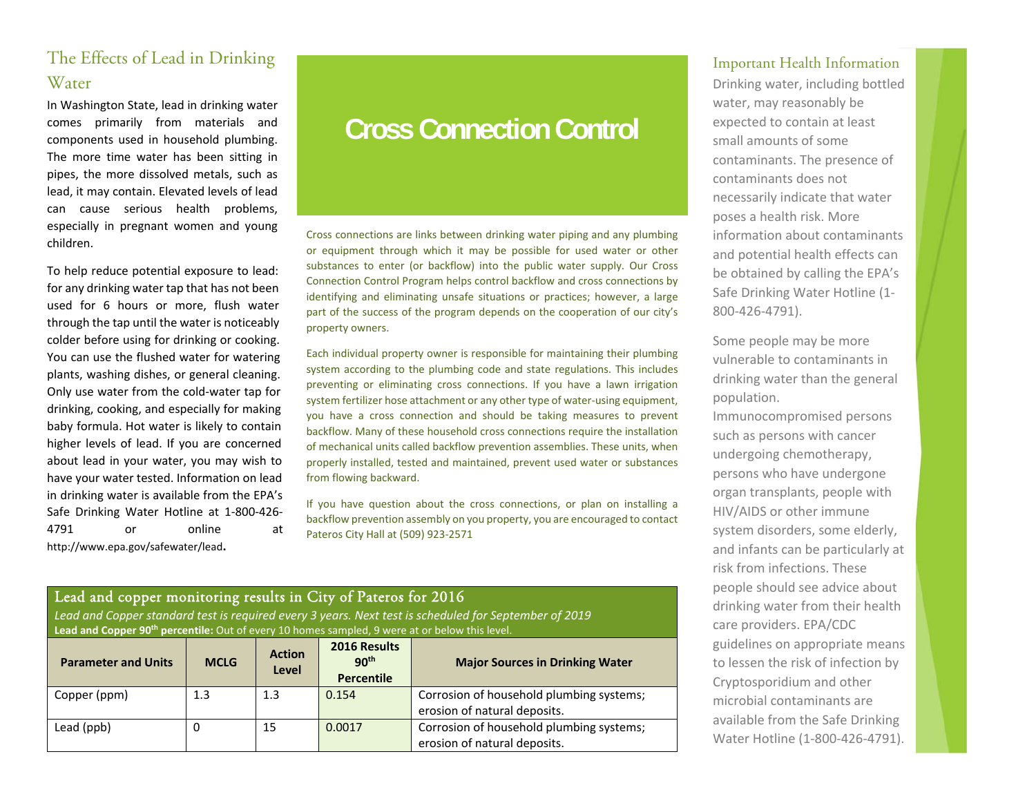## The Effects of Lead in Drinking **Water**

In Washington State, lead in drinking water comes primarily from materials and components used in household plumbing. The more time water has been sitting in pipes, the more dissolved metals, such as lead, it may contain. Elevated levels of lead can cause serious health problems, especially in pregnant women and young children.

To help reduce potential exposure to lead: for any drinking water tap that has not been used for 6 hours or more, flush water through the tap until the water is noticeably colder before using for drinking or cooking. You can use the flushed water for watering plants, washing dishes, or general cleaning. Only use water from the cold‐water tap for drinking, cooking, and especially for making baby formula. Hot water is likely to contain higher levels of lead. If you are concerned about lead in your water, you may wish to have your water tested. Information on lead in drinking water is available from the EPA's Safe Drinking Water Hotline at 1‐800‐426‐ 4791 or online at http://www.epa.gov/safewater/lead**.**

# **Cross Connection Control**

Cross connections are links between drinking water piping and any plumbing or equipment through which it may be possible for used water or other substances to enter (or backflow) into the public water supply. Our Cross Connection Control Program helps control backflow and cross connections by identifying and eliminating unsafe situations or practices; however, a large part of the success of the program depends on the cooperation of our city's property owners.

Each individual property owner is responsible for maintaining their plumbing system according to the plumbing code and state regulations. This includes preventing or eliminating cross connections. If you have <sup>a</sup> lawn irrigation system fertilizer hose attachment or any other type of water‐using equipment, you have <sup>a</sup> cross connection and should be taking measures to prevent backflow. Many of these household cross connections require the installation of mechanical units called backflow prevention assemblies. These units, when properly installed, tested and maintained, prevent used water or substances from flowing backward.

If you have question about the cross connections, or plan on installing a backflow prevention assembly on you property, you are encouraged to contact Pateros City Hall at (509) 923‐2571

### Lead and copper monitoring results in City of Pateros for 2016

*Lead and Copper standard test is required every 3 years. Next test is scheduled for September of 2019*  Lead and Copper 90<sup>th</sup> percentile: Out of every 10 homes sampled, 9 were at or below this level.

| <b>Parameter and Units</b> | <b>MCLG</b> | <b>Action</b><br>Level | 2016 Results<br>90 <sup>th</sup><br><b>Percentile</b> | <b>Major Sources in Drinking Water</b>                                   |
|----------------------------|-------------|------------------------|-------------------------------------------------------|--------------------------------------------------------------------------|
| Copper (ppm)               | 1.3         | 1.3                    | 0.154                                                 | Corrosion of household plumbing systems;<br>erosion of natural deposits. |
| Lead (ppb)                 | 0           | 15                     | 0.0017                                                | Corrosion of household plumbing systems;<br>erosion of natural deposits. |

#### Important Health Information

Drinking water, including bottled water, may reasonably be expected to contain at least small amounts of some contaminants. The presence of contaminants does not necessarily indicate that water poses a health risk. More information about contaminants and potential health effects can be obtained by calling the EPA's Safe Drinking Water Hotline (1‐ 800‐426‐4791).

Some people may be more vulnerable to contaminants in drinking water than the general population.

Immunocompromised persons such as persons with cancer undergoing chemotherapy, persons who have undergone organ transplants, people with HIV/AIDS or other immune system disorders, some elderly, and infants can be particularly at risk from infections. These people should see advice about drinking water from their health care providers. EPA/CDC guidelines on appropriate means to lessen the risk of infection by Cryptosporidium and other microbial contaminants are available from the Safe Drinking Water Hotline (1‐800‐426‐4791).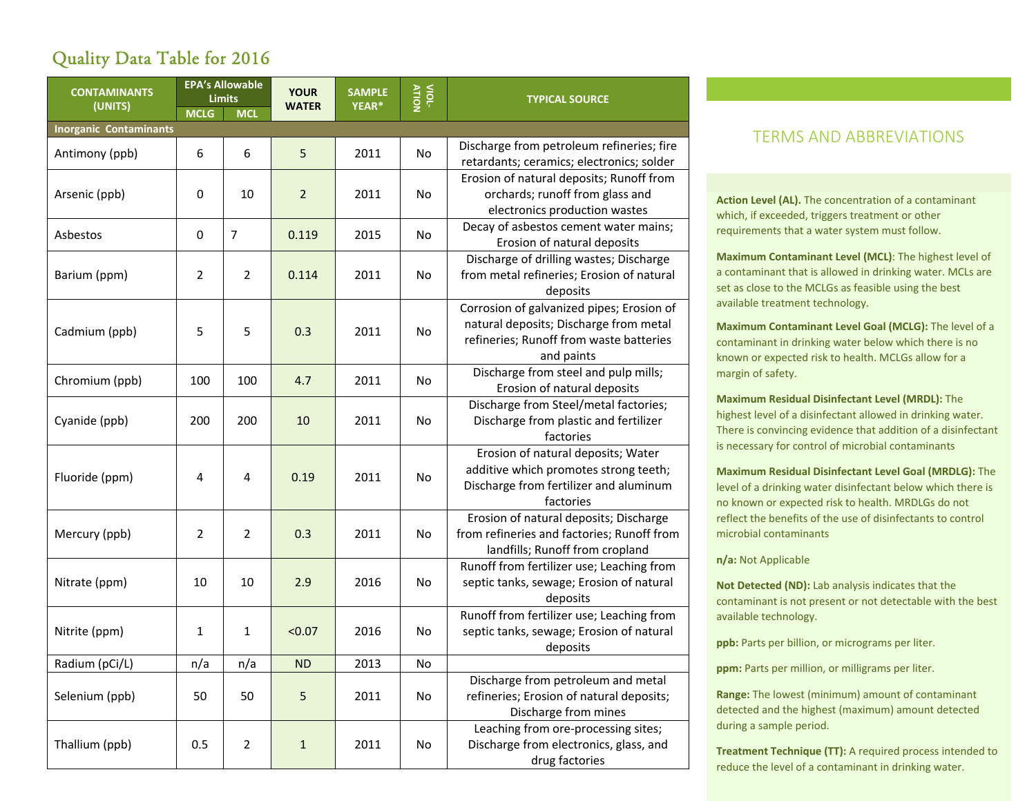## Quality Data Table for 2016

| <b>CONTAMINANTS</b>           | <b>EPA's Allowable</b><br><b>Limits</b> |                | <b>YOUR</b>    | <b>SAMPLE</b> | VIOL-     | <b>TYPICAL SOURCE</b>                                                                                                                        |  |  |
|-------------------------------|-----------------------------------------|----------------|----------------|---------------|-----------|----------------------------------------------------------------------------------------------------------------------------------------------|--|--|
| (UNITS)                       | <b>MCLG</b>                             | <b>MCL</b>     | <b>WATER</b>   | YEAR*         |           |                                                                                                                                              |  |  |
| <b>Inorganic Contaminants</b> |                                         |                |                |               |           |                                                                                                                                              |  |  |
| Antimony (ppb)                | 6                                       | 6              | 5              | 2011          | <b>No</b> | Discharge from petroleum refineries; fire<br>retardants; ceramics; electronics; solder                                                       |  |  |
| Arsenic (ppb)                 | $\mathbf 0$                             | 10             | $\overline{2}$ | 2011          | No        | Erosion of natural deposits; Runoff from<br>orchards; runoff from glass and<br>electronics production wastes                                 |  |  |
| Asbestos                      | $\mathbf 0$                             | $\overline{7}$ | 0.119          | 2015          | <b>No</b> | Decay of asbestos cement water mains;<br>Erosion of natural deposits                                                                         |  |  |
| Barium (ppm)                  | $\overline{2}$                          | $\overline{2}$ | 0.114          | 2011          | No        | Discharge of drilling wastes; Discharge<br>from metal refineries; Erosion of natural<br>deposits                                             |  |  |
| Cadmium (ppb)                 | 5                                       | 5              | 0.3            | 2011          | <b>No</b> | Corrosion of galvanized pipes; Erosion of<br>natural deposits; Discharge from metal<br>refineries; Runoff from waste batteries<br>and paints |  |  |
| Chromium (ppb)                | 100                                     | 100            | 4.7            | 2011          | No        | Discharge from steel and pulp mills;<br>Erosion of natural deposits                                                                          |  |  |
| Cyanide (ppb)                 | 200                                     | 200            | 10             | 2011          | <b>No</b> | Discharge from Steel/metal factories;<br>Discharge from plastic and fertilizer<br>factories                                                  |  |  |
| Fluoride (ppm)                | 4                                       | 4              | 0.19           | 2011          | <b>No</b> | Erosion of natural deposits; Water<br>additive which promotes strong teeth;<br>Discharge from fertilizer and aluminum<br>factories           |  |  |
| Mercury (ppb)                 | $\overline{2}$                          | $\overline{2}$ | 0.3            | 2011          | <b>No</b> | Erosion of natural deposits; Discharge<br>from refineries and factories; Runoff from<br>landfills; Runoff from cropland                      |  |  |
| Nitrate (ppm)                 | 10                                      | 10             | 2.9            | 2016          | No        | Runoff from fertilizer use; Leaching from<br>septic tanks, sewage; Erosion of natural<br>deposits                                            |  |  |
| Nitrite (ppm)                 | 1                                       | 1              | < 0.07         | 2016          | No        | Runoff from fertilizer use; Leaching from<br>septic tanks, sewage; Erosion of natural<br>deposits                                            |  |  |
| Radium (pCi/L)                | n/a                                     | n/a            | <b>ND</b>      | 2013          | No        |                                                                                                                                              |  |  |
| Selenium (ppb)                | 50                                      | 50             | 5              | 2011          | No        | Discharge from petroleum and metal<br>refineries; Erosion of natural deposits;<br>Discharge from mines                                       |  |  |
| Thallium (ppb)                | 0.5                                     | $\overline{2}$ | $\mathbf{1}$   | 2011          | No        | Leaching from ore-processing sites;<br>Discharge from electronics, glass, and<br>drug factories                                              |  |  |

### TERMS AND ABBREVIATIONS

**Action Level (AL).** The concentration of a contaminant which, if exceeded, triggers treatment or other requirements that a water system must follow.

**Maximum Contaminant Level (MCL)**: The highest level of a contaminant that is allowed in drinking water. MCLs are set as close to the MCLGs as feasible using the best available treatment technology.

**Maximum Contaminant Level Goal (MCLG):** The level of a contaminant in drinking water below which there is no known or expected risk to health. MCLGs allow for a margin of safety.

**Maximum Residual Disinfectant Level (MRDL):** The highest level of a disinfectant allowed in drinking water. There is convincing evidence that addition of a disinfectant is necessary for control of microbial contaminants

**Maximum Residual Disinfectant Level Goal (MRDLG):** The level of a drinking water disinfectant below which there is no known or expected risk to health. MRDLGs do not reflect the benefits of the use of disinfectants to control microbial contaminants

**n/a:** Not Applicable

**Not Detected (ND):** Lab analysis indicates that the contaminant is not present or not detectable with the best available technology.

**ppb:** Parts per billion, or micrograms per liter.

**ppm:** Parts per million, or milligrams per liter.

**Range:** The lowest (minimum) amount of contaminant detected and the highest (maximum) amount detected during a sample period.

**Treatment Technique (TT):** A required process intended to reduce the level of a contaminant in drinking water.